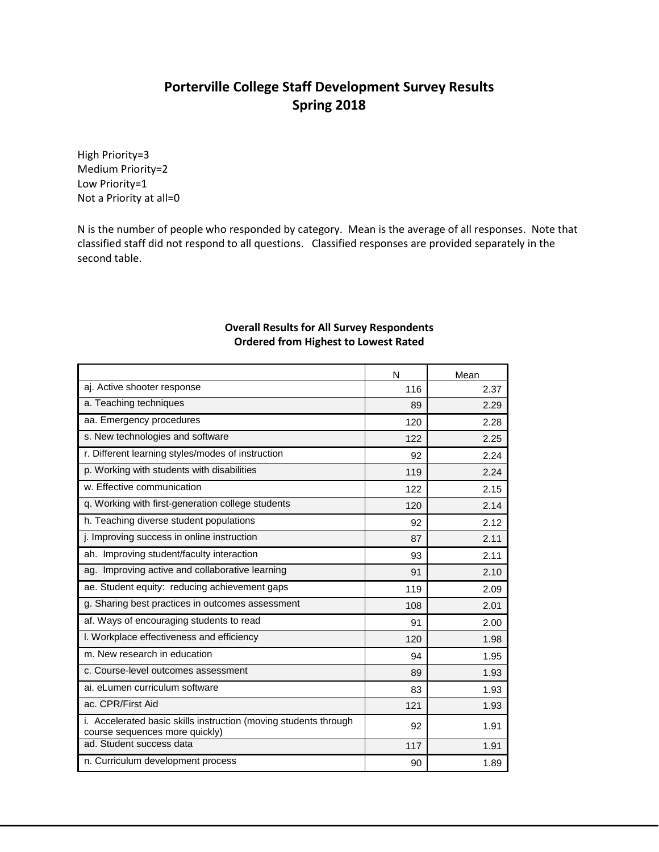## **Porterville College Staff Development Survey Results Spring 2018**

High Priority=3 Medium Priority=2 Low Priority=1 Not a Priority at all=0

N is the number of people who responded by category. Mean is the average of all responses. Note that classified staff did not respond to all questions. Classified responses are provided separately in the second table.

## **Overall Results for All Survey Respondents Ordered from Highest to Lowest Rated**

|                                                                                                    | N   | Mean |
|----------------------------------------------------------------------------------------------------|-----|------|
| aj. Active shooter response                                                                        | 116 | 2.37 |
| a. Teaching techniques                                                                             | 89  | 2.29 |
| aa. Emergency procedures                                                                           | 120 | 2.28 |
| s. New technologies and software                                                                   | 122 | 2.25 |
| r. Different learning styles/modes of instruction                                                  | 92  | 2.24 |
| p. Working with students with disabilities                                                         | 119 | 2.24 |
| w. Effective communication                                                                         | 122 | 2.15 |
| q. Working with first-generation college students                                                  | 120 | 2.14 |
| h. Teaching diverse student populations                                                            | 92  | 2.12 |
| j. Improving success in online instruction                                                         | 87  | 2.11 |
| ah. Improving student/faculty interaction                                                          | 93  | 2.11 |
| ag. Improving active and collaborative learning                                                    | 91  | 2.10 |
| ae. Student equity: reducing achievement gaps                                                      | 119 | 2.09 |
| g. Sharing best practices in outcomes assessment                                                   | 108 | 2.01 |
| af. Ways of encouraging students to read                                                           | 91  | 2.00 |
| I. Workplace effectiveness and efficiency                                                          | 120 | 1.98 |
| m. New research in education                                                                       | 94  | 1.95 |
| c. Course-level outcomes assessment                                                                | 89  | 1.93 |
| ai. eLumen curriculum software                                                                     | 83  | 1.93 |
| ac. CPR/First Aid                                                                                  | 121 | 1.93 |
| i. Accelerated basic skills instruction (moving students through<br>course sequences more quickly) | 92  | 1.91 |
| ad. Student success data                                                                           | 117 | 1.91 |
| n. Curriculum development process                                                                  | 90  | 1.89 |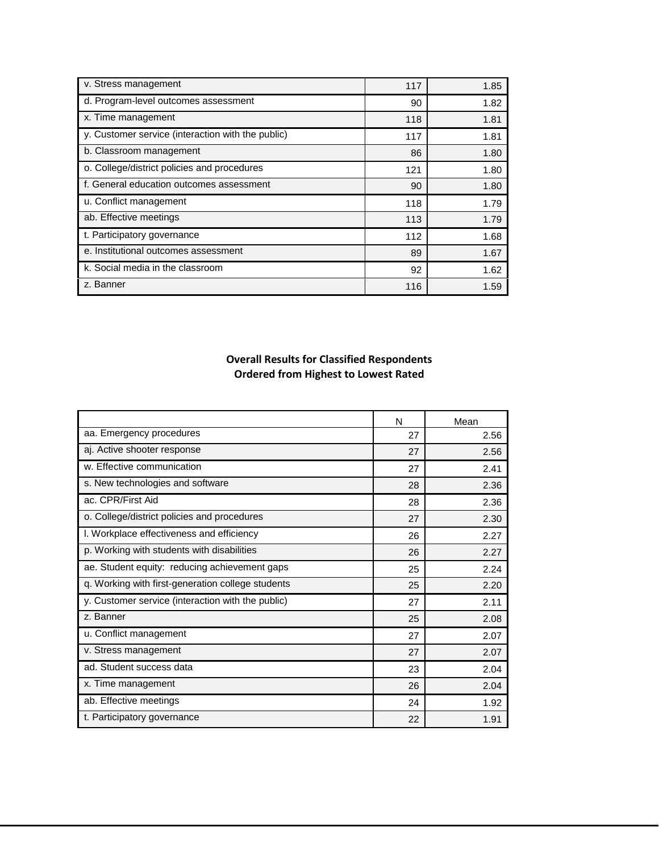| v. Stress management                              | 117 | 1.85 |
|---------------------------------------------------|-----|------|
| d. Program-level outcomes assessment              | 90  | 1.82 |
| x. Time management                                | 118 | 1.81 |
| y. Customer service (interaction with the public) | 117 | 1.81 |
| b. Classroom management                           | 86  | 1.80 |
| o. College/district policies and procedures       | 121 | 1.80 |
| f. General education outcomes assessment          | 90  | 1.80 |
| u. Conflict management                            | 118 | 1.79 |
| ab. Effective meetings                            | 113 | 1.79 |
| t. Participatory governance                       | 112 | 1.68 |
| e. Institutional outcomes assessment              | 89  | 1.67 |
| k. Social media in the classroom                  | 92  | 1.62 |
| z. Banner                                         | 116 | 1.59 |

## **Overall Results for Classified Respondents Ordered from Highest to Lowest Rated**

|                                                   | N  | Mean |
|---------------------------------------------------|----|------|
| aa. Emergency procedures                          | 27 | 2.56 |
| aj. Active shooter response                       | 27 | 2.56 |
| w. Effective communication                        | 27 | 2.41 |
| s. New technologies and software                  | 28 | 2.36 |
| ac. CPR/First Aid                                 | 28 | 2.36 |
| o. College/district policies and procedures       | 27 | 2.30 |
| I. Workplace effectiveness and efficiency         | 26 | 2.27 |
| p. Working with students with disabilities        | 26 | 2.27 |
| ae. Student equity: reducing achievement gaps     | 25 | 2.24 |
| q. Working with first-generation college students | 25 | 2.20 |
| y. Customer service (interaction with the public) | 27 | 2.11 |
| z. Banner                                         | 25 | 2.08 |
| u. Conflict management                            | 27 | 2.07 |
| v. Stress management                              | 27 | 2.07 |
| ad. Student success data                          | 23 | 2.04 |
| x. Time management                                | 26 | 2.04 |
| ab. Effective meetings                            | 24 | 1.92 |
| t. Participatory governance                       | 22 | 1.91 |